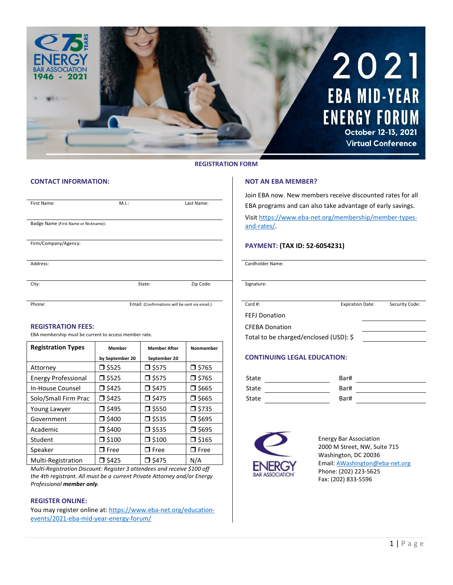

## **REGISTRATION FORM**

## **CONTACT INFORMATION: NOT AN EBA MEMBER?**

| EBA pro              |
|----------------------|
| Visit htt<br>and-rat |
| <b>PAYME</b>         |
| Cardholde            |
| Signature:           |
|                      |

## **REGISTRATION FEES:** CFEBA Donation

| <b>Registration Types</b>  | Member          | <b>Member After</b> | <b>Nonmember</b> |       |                                    |                            |
|----------------------------|-----------------|---------------------|------------------|-------|------------------------------------|----------------------------|
|                            | by September 20 | September 20        |                  |       | <b>CONTINUING LEGAL EDUCATION:</b> |                            |
| Attorney                   | $\square$ \$525 | $\square$ \$575     | $\square$ \$765  |       |                                    |                            |
| <b>Energy Professional</b> | $\square$ \$525 | $\square$ \$575     | $\square$ \$765  | State |                                    | Bar#                       |
| In-House Counsel           | $\square$ \$425 | $\square$ \$475     | □ \$665          | State |                                    | Bar#                       |
| Solo/Small Firm Prac       | $\square$ \$425 | $\square$ \$475     | $\square$ \$665  | State |                                    | Bar#                       |
| Young Lawyer               | $\square$ \$495 | $\square$ \$550     | $\square$ \$735  |       |                                    |                            |
| Government                 | $\square$ \$400 | $\square$ \$535     | $\square$ \$695  |       |                                    |                            |
| Academic                   | $\square$ \$400 | $\square$ \$535     | $\square$ \$695  |       |                                    |                            |
| Student                    | $\square$ \$100 | $\square$ \$100     | $\square$ \$165  |       |                                    | Energy Bar A               |
| Speaker                    | $\Box$ Free     | $\Box$ Free         | $\Box$ Free      |       |                                    | 2000 M Stre                |
| Multi-Registration         | $\square$ \$425 | $\square$ \$475     | N/A              |       | EN IEDOV                           | Washington,<br>Email: AWas |

*Multi-Registration Discount: Register 3 attendees and receive \$100 off the 4th registrant. All must be a current Private Attorney and/or Energy Professional member only.*

## **REGISTER ONLINE:**

You may register online at: [https://www.eba-net.org/education](https://www.eba-net.org/education-events/2021-eba-mid-year-energy-forum/)[events/2021-eba-mid-year-energy-forum/](https://www.eba-net.org/education-events/2021-eba-mid-year-energy-forum/)

Join EBA now. New members receive discounted rates for all EBA programs and can also take advantage of early savings.

Visi[t https://www.eba-net.org/membership/member-types](https://www.eba-net.org/membership/member-types-and-rates/)[and-rates/.](https://www.eba-net.org/membership/member-types-and-rates/)

## PAYMENT: (TAX ID: 52-6054231)

Cardholder Name:



# **by SEPTEMBER 20 INCONTINUING LEGAL EDUCATION:**

| State | Bar# |
|-------|------|
| State | Bar# |
| State | Bar# |



Energy Bar Association 2000 M Street, NW, Suite 715 Washington, DC 20036 Email: [AWashington@eba-net.org](mailto:AWashington@eba-net.org) Phone: (202) 223-5625 Fax: (202) 833-5596